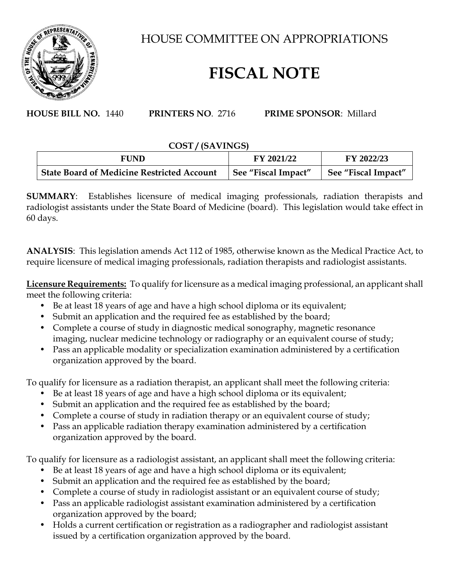

HOUSE COMMITTEE ON APPROPRIATIONS

## **FISCAL NOTE**

**HOUSE BILL NO.** 1440 **PRINTERS NO**. 2716 **PRIME SPONSOR**: Millard

## **COST / (SAVINGS)**

| FUND                                              | FY 2021/22          | FY 2022/23          |
|---------------------------------------------------|---------------------|---------------------|
| <b>State Board of Medicine Restricted Account</b> | See "Fiscal Impact" | See "Fiscal Impact" |

**SUMMARY**: Establishes licensure of medical imaging professionals, radiation therapists and radiologist assistants under the State Board of Medicine (board). This legislation would take effect in 60 days.

**ANALYSIS**: This legislation amends Act 112 of 1985, otherwise known as the Medical Practice Act, to require licensure of medical imaging professionals, radiation therapists and radiologist assistants.

**Licensure Requirements:** To qualify for licensure as a medical imaging professional, an applicant shall meet the following criteria:

- Be at least 18 years of age and have a high school diploma or its equivalent;
- Submit an application and the required fee as established by the board;
- Complete a course of study in diagnostic medical sonography, magnetic resonance imaging, nuclear medicine technology or radiography or an equivalent course of study;
- Pass an applicable modality or specialization examination administered by a certification organization approved by the board.

To qualify for licensure as a radiation therapist, an applicant shall meet the following criteria:

- Be at least 18 years of age and have a high school diploma or its equivalent;
- Submit an application and the required fee as established by the board;
- Complete a course of study in radiation therapy or an equivalent course of study;
- Pass an applicable radiation therapy examination administered by a certification organization approved by the board.

To qualify for licensure as a radiologist assistant, an applicant shall meet the following criteria:

- Be at least 18 years of age and have a high school diploma or its equivalent;
- Submit an application and the required fee as established by the board;
- Complete a course of study in radiologist assistant or an equivalent course of study;
- Pass an applicable radiologist assistant examination administered by a certification organization approved by the board;
- Holds a current certification or registration as a radiographer and radiologist assistant issued by a certification organization approved by the board.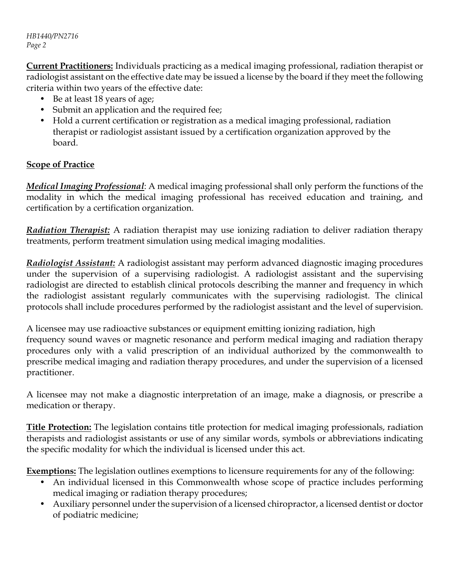*HB1440/PN2716 Page 2*

**Current Practitioners:** Individuals practicing as a medical imaging professional, radiation therapist or radiologist assistant on the effective date may be issued a license by the board if they meet the following criteria within two years of the effective date:

- Be at least 18 years of age;
- Submit an application and the required fee;
- Hold a current certification or registration as a medical imaging professional, radiation therapist or radiologist assistant issued by a certification organization approved by the board.

## **Scope of Practice**

*Medical Imaging Professional*: A medical imaging professional shall only perform the functions of the modality in which the medical imaging professional has received education and training, and certification by a certification organization.

*Radiation Therapist:* A radiation therapist may use ionizing radiation to deliver radiation therapy treatments, perform treatment simulation using medical imaging modalities.

*Radiologist Assistant:* A radiologist assistant may perform advanced diagnostic imaging procedures under the supervision of a supervising radiologist. A radiologist assistant and the supervising radiologist are directed to establish clinical protocols describing the manner and frequency in which the radiologist assistant regularly communicates with the supervising radiologist. The clinical protocols shall include procedures performed by the radiologist assistant and the level of supervision.

A licensee may use radioactive substances or equipment emitting ionizing radiation, high frequency sound waves or magnetic resonance and perform medical imaging and radiation therapy procedures only with a valid prescription of an individual authorized by the commonwealth to prescribe medical imaging and radiation therapy procedures, and under the supervision of a licensed practitioner.

A licensee may not make a diagnostic interpretation of an image, make a diagnosis, or prescribe a medication or therapy.

**Title Protection:** The legislation contains title protection for medical imaging professionals, radiation therapists and radiologist assistants or use of any similar words, symbols or abbreviations indicating the specific modality for which the individual is licensed under this act.

**Exemptions:** The legislation outlines exemptions to licensure requirements for any of the following:

- An individual licensed in this Commonwealth whose scope of practice includes performing medical imaging or radiation therapy procedures;
- Auxiliary personnel under the supervision of a licensed chiropractor, a licensed dentist or doctor of podiatric medicine;